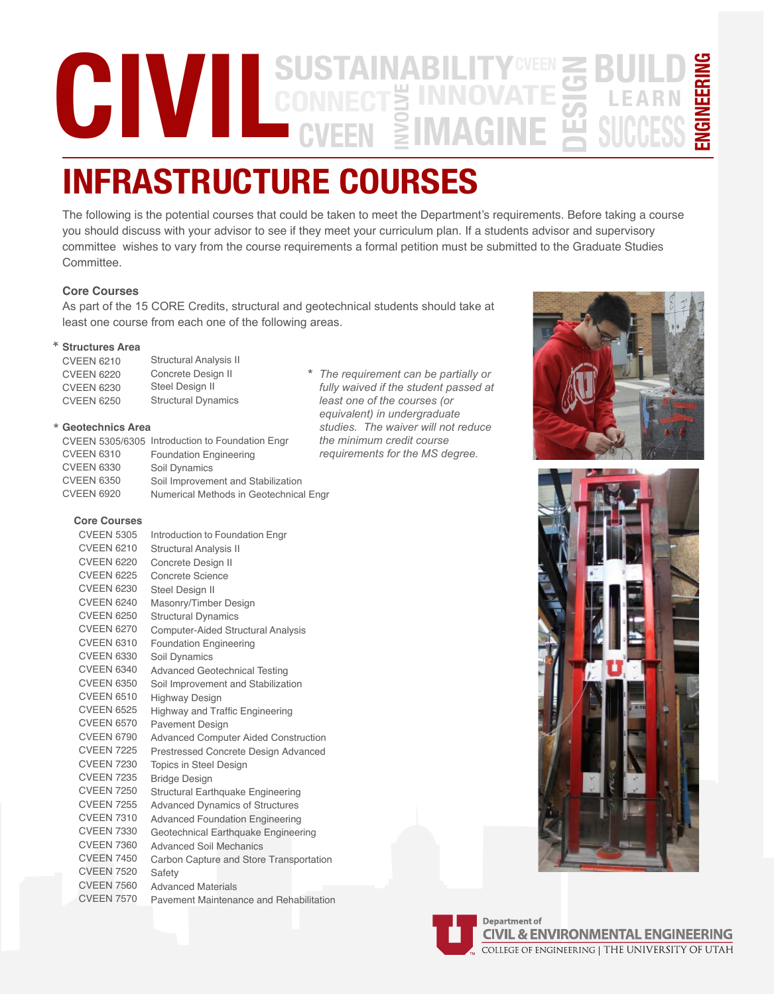### **CIVILL** SUSTAI **SUSTAINABILITY BUILD ENGINEERING DESIGN** NGINEERINO **INNOVATE INFRASTRUCTURE COURSES LEARN IMAGINE SUCCESS**

The following is the potential courses that could be taken to meet the Department's requirements. Before taking a course you should discuss with your advisor to see if they meet your curriculum plan. If a students advisor and supervisory committee wishes to vary from the course requirements a formal petition must be submitted to the Graduate Studies Committee.

# **Core Courses**

As part of the 15 CORE Credits, structural and geotechnical students should take at least one course from each one of the following areas.

\*

## **Structures**  \*

| <b>CVEEN 6210</b> | <b>Structural Analysis II</b> |
|-------------------|-------------------------------|
| <b>CVEEN 6220</b> | Concrete Design II            |
| <b>CVEEN 6230</b> | Steel Design II               |
| <b>CVEEN 6250</b> | <b>Structural Dynamics</b>    |
|                   |                               |

### \* Geotechnics Area

|                   |                                                 | th |
|-------------------|-------------------------------------------------|----|
|                   | CVEEN 5305/6305 Introduction to Foundation Engr |    |
| <b>CVEEN 6310</b> | <b>Foundation Engineering</b>                   | re |
| <b>CVEEN 6330</b> | Soil Dynamics                                   |    |
| <b>CVEEN 6350</b> | Soil Improvement and Stabilization              |    |
| <b>CVEEN 6920</b> | Numerical Methods in Geotechnical Engr          |    |

# Core Courses

| JUIE COUISES      |                                             |
|-------------------|---------------------------------------------|
| <b>CVEEN 5305</b> | Introduction to Foundation Engr             |
| <b>CVEEN 6210</b> | <b>Structural Analysis II</b>               |
| <b>CVEEN 6220</b> | Concrete Design II                          |
| <b>CVEEN 6225</b> | Concrete Science                            |
| <b>CVEEN 6230</b> | Steel Design II                             |
| <b>CVEEN 6240</b> | Masonry/Timber Design                       |
| <b>CVEEN 6250</b> | <b>Structural Dynamics</b>                  |
| <b>CVEEN 6270</b> | <b>Computer-Aided Structural Analysis</b>   |
| <b>CVEEN 6310</b> | <b>Foundation Engineering</b>               |
| <b>CVEEN 6330</b> | Soil Dynamics                               |
| <b>CVEEN 6340</b> | <b>Advanced Geotechnical Testing</b>        |
| <b>CVEEN 6350</b> | Soil Improvement and Stabilization          |
| <b>CVEEN 6510</b> | <b>Highway Design</b>                       |
| <b>CVEEN 6525</b> | <b>Highway and Traffic Engineering</b>      |
| <b>CVEEN 6570</b> | <b>Pavement Design</b>                      |
| <b>CVEEN 6790</b> | <b>Advanced Computer Aided Construction</b> |
| <b>CVEEN 7225</b> | Prestressed Concrete Design Advanced        |
| <b>CVEEN 7230</b> | <b>Topics in Steel Design</b>               |
| <b>CVEEN 7235</b> | <b>Bridge Design</b>                        |
| <b>CVEEN 7250</b> | Structural Earthquake Engineering           |
| <b>CVEEN 7255</b> | <b>Advanced Dynamics of Structures</b>      |
| <b>CVEEN 7310</b> | <b>Advanced Foundation Engineering</b>      |
| <b>CVEEN 7330</b> | Geotechnical Earthquake Engineering         |
| <b>CVEEN 7360</b> | <b>Advanced Soil Mechanics</b>              |
| <b>CVEEN 7450</b> | Carbon Capture and Store Transportation     |
| <b>CVEEN 7520</b> | Safety                                      |
| <b>CVEEN 7560</b> | <b>Advanced Materials</b>                   |
| <b>CVEEN 7570</b> | Pavement Maintenance and Rehabilitation     |

*The requirement can be partially or fully waived if the student passed at least one of the courses (or equivalent) in undergraduate studies. The waiver will not reduce the minimum credit course requirements for the MS degree.*







**Department of CIVIL & ENVIRONMENTAL ENGINEERING** COLLEGE OF ENGINEERING | THE UNIVERSITY OF UTAH